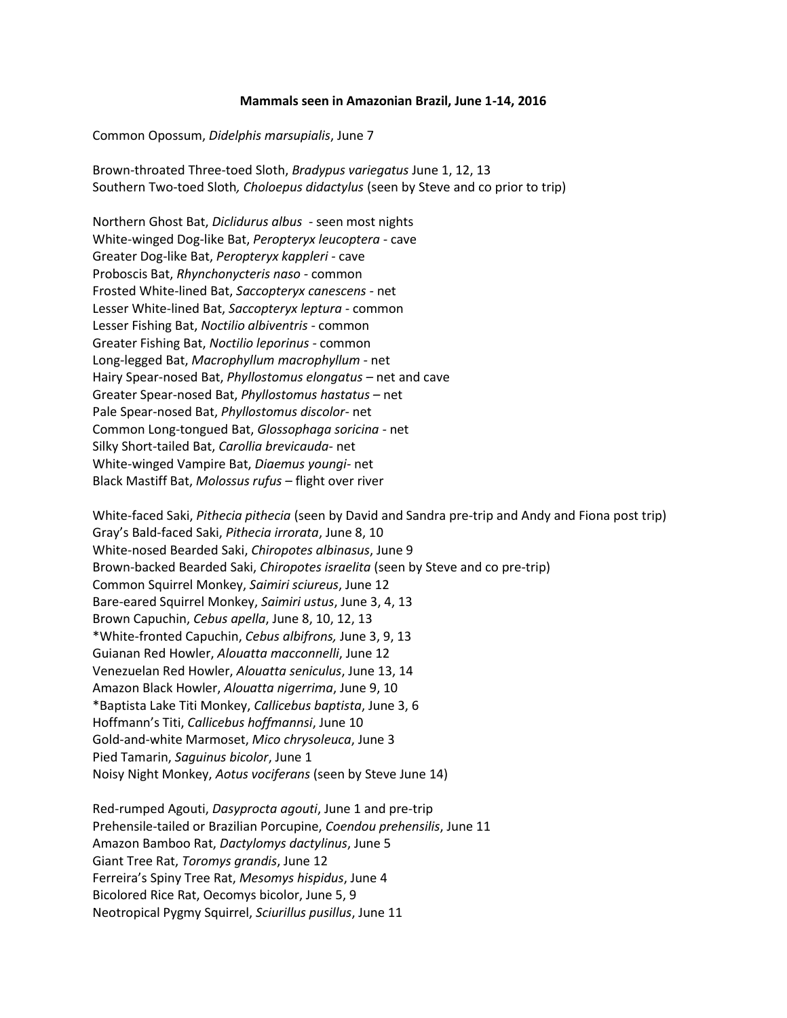## **Mammals seen in Amazonian Brazil, June 1-14, 2016**

Common Opossum, *Didelphis marsupialis*, June 7

Brown-throated Three-toed Sloth, *Bradypus variegatus* June 1, 12, 13 Southern Two-toed Sloth*, Choloepus didactylus* (seen by Steve and co prior to trip)

Northern Ghost Bat, *Diclidurus albus* - seen most nights White-winged Dog-like Bat, *Peropteryx leucoptera -* cave Greater Dog-like Bat, *Peropteryx kappleri -* cave Proboscis Bat, *Rhynchonycteris naso -* common Frosted White-lined Bat, *Saccopteryx canescens -* net Lesser White-lined Bat, *Saccopteryx leptura -* common Lesser Fishing Bat, *Noctilio albiventris -* common Greater Fishing Bat, *Noctilio leporinus -* common Long-legged Bat, *Macrophyllum macrophyllum -* net Hairy Spear-nosed Bat, *Phyllostomus elongatus –* net and cave Greater Spear-nosed Bat, *Phyllostomus hastatus –* net Pale Spear-nosed Bat, *Phyllostomus discolor-* net Common Long-tongued Bat, *Glossophaga soricina -* net Silky Short-tailed Bat, *Carollia brevicauda-* net White-winged Vampire Bat, *Diaemus youngi-* net Black Mastiff Bat, *Molossus rufus –* flight over river

White-faced Saki, *Pithecia pithecia* (seen by David and Sandra pre-trip and Andy and Fiona post trip) Gray's Bald-faced Saki, *Pithecia irrorata*, June 8, 10 White-nosed Bearded Saki, *Chiropotes albinasus*, June 9 Brown-backed Bearded Saki, *Chiropotes israelita* (seen by Steve and co pre-trip) Common Squirrel Monkey, *Saimiri sciureus*, June 12 Bare-eared Squirrel Monkey, *Saimiri ustus*, June 3, 4, 13 Brown Capuchin, *Cebus apella*, June 8, 10, 12, 13 \*White-fronted Capuchin, *Cebus albifrons,* June 3, 9, 13 Guianan Red Howler, *Alouatta macconnelli*, June 12 Venezuelan Red Howler, *Alouatta seniculus*, June 13, 14 Amazon Black Howler, *Alouatta nigerrima*, June 9, 10 \*Baptista Lake Titi Monkey, *Callicebus baptista*, June 3, 6 Hoffmann's Titi, *Callicebus hoffmannsi*, June 10 Gold-and-white Marmoset, *Mico chrysoleuca*, June 3 Pied Tamarin, *Saguinus bicolor*, June 1 Noisy Night Monkey, *Aotus vociferans* (seen by Steve June 14)

Red-rumped Agouti, *Dasyprocta agouti*, June 1 and pre-trip Prehensile-tailed or Brazilian Porcupine, *Coendou prehensilis*, June 11 Amazon Bamboo Rat, *Dactylomys dactylinus*, June 5 Giant Tree Rat, *Toromys grandis*, June 12 Ferreira's Spiny Tree Rat, *Mesomys hispidus*, June 4 Bicolored Rice Rat, Oecomys bicolor, June 5, 9 Neotropical Pygmy Squirrel, *Sciurillus pusillus*, June 11